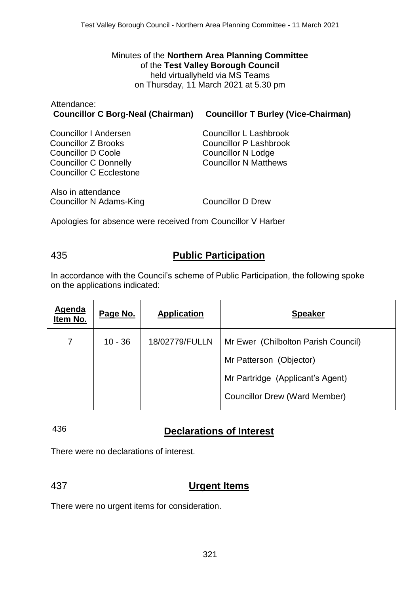### Minutes of the **Northern Area Planning Committee** of the **Test Valley Borough Council** held virtuallyheld via MS Teams on Thursday, 11 March 2021 at 5.30 pm

| Attendance: |                                                                       |
|-------------|-----------------------------------------------------------------------|
|             | Councillor C Borg-Neal (Chairman) Councillor T Burley (Vice-Chairman) |

| <b>Councillor I Andersen</b>   | <b>Councillor L Lashbrook</b> |
|--------------------------------|-------------------------------|
| <b>Councillor Z Brooks</b>     | <b>Councillor P Lashbrook</b> |
| <b>Councillor D Coole</b>      | <b>Councillor N Lodge</b>     |
| <b>Councillor C Donnelly</b>   | <b>Councillor N Matthews</b>  |
| <b>Councillor C Ecclestone</b> |                               |
| Also in attendance             |                               |

Councillor N Adams-King Councillor D Drew

Apologies for absence were received from Councillor V Harber

# 435 **Public Participation**

In accordance with the Council's scheme of Public Participation, the following spoke on the applications indicated:

| <b>Agenda</b><br>Item No. | Page No.  | <b>Application</b> | <b>Speaker</b>                       |
|---------------------------|-----------|--------------------|--------------------------------------|
| 7                         | $10 - 36$ | 18/02779/FULLN     | Mr Ewer (Chilbolton Parish Council)  |
|                           |           |                    | Mr Patterson (Objector)              |
|                           |           |                    | Mr Partridge (Applicant's Agent)     |
|                           |           |                    | <b>Councillor Drew (Ward Member)</b> |

# 436 **Declarations of Interest**

There were no declarations of interest.

# 437 **Urgent Items**

There were no urgent items for consideration.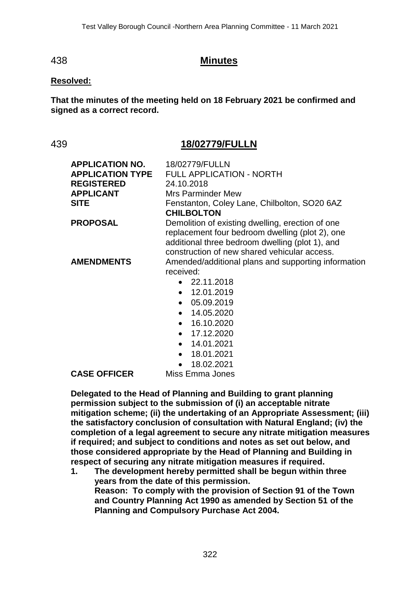### 438 **Minutes**

#### **Resolved:**

**That the minutes of the meeting held on 18 February 2021 be confirmed and signed as a correct record.**

### 439 **18/02779/FULLN**

| <b>APPLICATION NO.</b><br><b>APPLICATION TYPE</b><br><b>REGISTERED</b><br><b>APPLICANT</b><br><b>SITE</b> | 18/02779/FULLN<br><b>FULL APPLICATION - NORTH</b><br>24.10.2018<br><b>Mrs Parminder Mew</b><br>Fenstanton, Coley Lane, Chilbolton, SO20 6AZ<br><b>CHILBOLTON</b>                                                                                                        |
|-----------------------------------------------------------------------------------------------------------|-------------------------------------------------------------------------------------------------------------------------------------------------------------------------------------------------------------------------------------------------------------------------|
| <b>PROPOSAL</b>                                                                                           | Demolition of existing dwelling, erection of one<br>replacement four bedroom dwelling (plot 2), one<br>additional three bedroom dwelling (plot 1), and<br>construction of new shared vehicular access.                                                                  |
| <b>AMENDMENTS</b>                                                                                         | Amended/additional plans and supporting information<br>received:<br>$\bullet$ 22.11.2018<br>$-12.01.2019$<br>$\bullet$ 05.09.2019<br>$\bullet$ 14.05.2020<br>$\bullet$ 16.10.2020<br>$\bullet$ 17.12.2020<br>$\bullet$ 14.01.2021<br>$\bullet$ 18.01.2021<br>18.02.2021 |
| <b>CASE OFFICER</b>                                                                                       | Miss Emma Jones                                                                                                                                                                                                                                                         |

**Delegated to the Head of Planning and Building to grant planning permission subject to the submission of (i) an acceptable nitrate mitigation scheme; (ii) the undertaking of an Appropriate Assessment; (iii) the satisfactory conclusion of consultation with Natural England; (iv) the completion of a legal agreement to secure any nitrate mitigation measures if required; and subject to conditions and notes as set out below, and those considered appropriate by the Head of Planning and Building in respect of securing any nitrate mitigation measures if required.**

**1. The development hereby permitted shall be begun within three years from the date of this permission. Reason: To comply with the provision of Section 91 of the Town and Country Planning Act 1990 as amended by Section 51 of the Planning and Compulsory Purchase Act 2004.**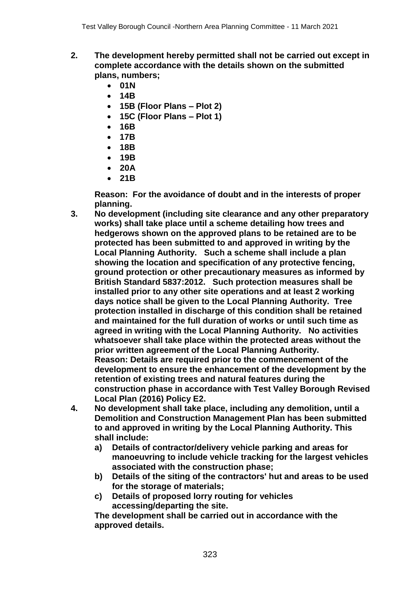- **2. The development hereby permitted shall not be carried out except in complete accordance with the details shown on the submitted plans, numbers;** 
	- **01N**
	- **14B**
	- **15B (Floor Plans – Plot 2)**
	- **15C (Floor Plans – Plot 1)**
	- **16B**
	- **17B**
	- **18B**
	- **19B**
	- **20A**
	- **21B**

**Reason: For the avoidance of doubt and in the interests of proper planning.**

- **3. No development (including site clearance and any other preparatory works) shall take place until a scheme detailing how trees and hedgerows shown on the approved plans to be retained are to be protected has been submitted to and approved in writing by the Local Planning Authority. Such a scheme shall include a plan showing the location and specification of any protective fencing, ground protection or other precautionary measures as informed by British Standard 5837:2012. Such protection measures shall be installed prior to any other site operations and at least 2 working days notice shall be given to the Local Planning Authority. Tree protection installed in discharge of this condition shall be retained and maintained for the full duration of works or until such time as agreed in writing with the Local Planning Authority. No activities whatsoever shall take place within the protected areas without the prior written agreement of the Local Planning Authority. Reason: Details are required prior to the commencement of the development to ensure the enhancement of the development by the retention of existing trees and natural features during the construction phase in accordance with Test Valley Borough Revised Local Plan (2016) Policy E2.**
- **4. No development shall take place, including any demolition, until a Demolition and Construction Management Plan has been submitted to and approved in writing by the Local Planning Authority. This shall include:** 
	- **a) Details of contractor/delivery vehicle parking and areas for manoeuvring to include vehicle tracking for the largest vehicles associated with the construction phase;**
	- **b) Details of the siting of the contractors' hut and areas to be used for the storage of materials;**
	- **c) Details of proposed lorry routing for vehicles accessing/departing the site.**

**The development shall be carried out in accordance with the approved details.**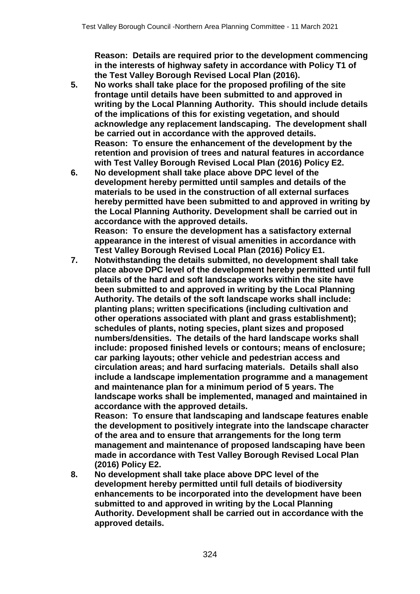**Reason: Details are required prior to the development commencing in the interests of highway safety in accordance with Policy T1 of the Test Valley Borough Revised Local Plan (2016).**

- **5. No works shall take place for the proposed profiling of the site frontage until details have been submitted to and approved in writing by the Local Planning Authority. This should include details of the implications of this for existing vegetation, and should acknowledge any replacement landscaping. The development shall be carried out in accordance with the approved details. Reason: To ensure the enhancement of the development by the retention and provision of trees and natural features in accordance with Test Valley Borough Revised Local Plan (2016) Policy E2.**
- **6. No development shall take place above DPC level of the development hereby permitted until samples and details of the materials to be used in the construction of all external surfaces hereby permitted have been submitted to and approved in writing by the Local Planning Authority. Development shall be carried out in accordance with the approved details. Reason: To ensure the development has a satisfactory external appearance in the interest of visual amenities in accordance with Test Valley Borough Revised Local Plan (2016) Policy E1.**
- **7. Notwithstanding the details submitted, no development shall take place above DPC level of the development hereby permitted until full details of the hard and soft landscape works within the site have been submitted to and approved in writing by the Local Planning Authority. The details of the soft landscape works shall include: planting plans; written specifications (including cultivation and other operations associated with plant and grass establishment); schedules of plants, noting species, plant sizes and proposed numbers/densities. The details of the hard landscape works shall include: proposed finished levels or contours; means of enclosure; car parking layouts; other vehicle and pedestrian access and circulation areas; and hard surfacing materials. Details shall also include a landscape implementation programme and a management and maintenance plan for a minimum period of 5 years. The landscape works shall be implemented, managed and maintained in accordance with the approved details.**

**Reason: To ensure that landscaping and landscape features enable the development to positively integrate into the landscape character of the area and to ensure that arrangements for the long term management and maintenance of proposed landscaping have been made in accordance with Test Valley Borough Revised Local Plan (2016) Policy E2.**

**8. No development shall take place above DPC level of the development hereby permitted until full details of biodiversity enhancements to be incorporated into the development have been submitted to and approved in writing by the Local Planning Authority. Development shall be carried out in accordance with the approved details.**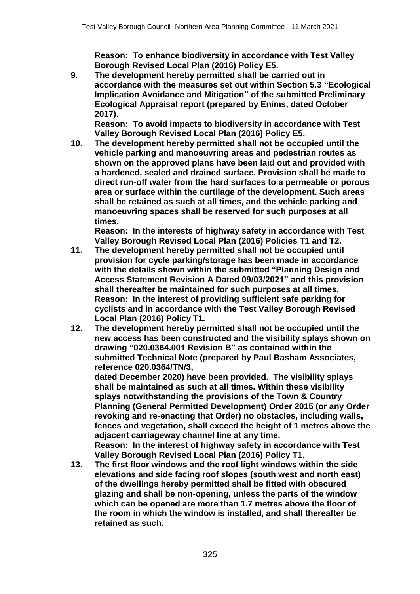**Reason: To enhance biodiversity in accordance with Test Valley Borough Revised Local Plan (2016) Policy E5.**

**9. The development hereby permitted shall be carried out in accordance with the measures set out within Section 5.3 "Ecological Implication Avoidance and Mitigation" of the submitted Preliminary Ecological Appraisal report (prepared by Enims, dated October 2017).** 

**Reason: To avoid impacts to biodiversity in accordance with Test Valley Borough Revised Local Plan (2016) Policy E5.**

**10. The development hereby permitted shall not be occupied until the vehicle parking and manoeuvring areas and pedestrian routes as shown on the approved plans have been laid out and provided with a hardened, sealed and drained surface. Provision shall be made to direct run-off water from the hard surfaces to a permeable or porous area or surface within the curtilage of the development. Such areas shall be retained as such at all times, and the vehicle parking and manoeuvring spaces shall be reserved for such purposes at all times.**

**Reason: In the interests of highway safety in accordance with Test Valley Borough Revised Local Plan (2016) Policies T1 and T2.**

- **11. The development hereby permitted shall not be occupied until provision for cycle parking/storage has been made in accordance with the details shown within the submitted "Planning Design and Access Statement Revision A Dated 09/03/2021" and this provision shall thereafter be maintained for such purposes at all times. Reason: In the interest of providing sufficient safe parking for cyclists and in accordance with the Test Valley Borough Revised Local Plan (2016) Policy T1.**
- **12. The development hereby permitted shall not be occupied until the new access has been constructed and the visibility splays shown on drawing "020.0364.001 Revision B" as contained within the submitted Technical Note (prepared by Paul Basham Associates, reference 020.0364/TN/3,**

**dated December 2020) have been provided. The visibility splays shall be maintained as such at all times. Within these visibility splays notwithstanding the provisions of the Town & Country Planning (General Permitted Development) Order 2015 (or any Order revoking and re-enacting that Order) no obstacles, including walls, fences and vegetation, shall exceed the height of 1 metres above the adjacent carriageway channel line at any time.**

**Reason: In the interest of highway safety in accordance with Test Valley Borough Revised Local Plan (2016) Policy T1.**

**13. The first floor windows and the roof light windows within the side elevations and side facing roof slopes (south west and north east) of the dwellings hereby permitted shall be fitted with obscured glazing and shall be non-opening, unless the parts of the window which can be opened are more than 1.7 metres above the floor of the room in which the window is installed, and shall thereafter be retained as such.**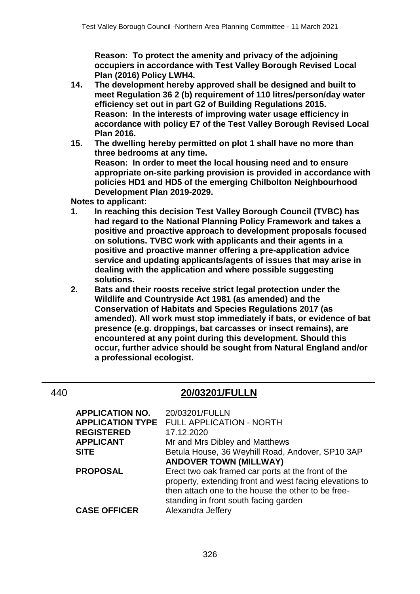**Reason: To protect the amenity and privacy of the adjoining occupiers in accordance with Test Valley Borough Revised Local Plan (2016) Policy LWH4.**

- **14. The development hereby approved shall be designed and built to meet Regulation 36 2 (b) requirement of 110 litres/person/day water efficiency set out in part G2 of Building Regulations 2015. Reason: In the interests of improving water usage efficiency in accordance with policy E7 of the Test Valley Borough Revised Local Plan 2016.**
- **15. The dwelling hereby permitted on plot 1 shall have no more than three bedrooms at any time. Reason: In order to meet the local housing need and to ensure appropriate on-site parking provision is provided in accordance with policies HD1 and HD5 of the emerging Chilbolton Neighbourhood Development Plan 2019-2029.**

**Notes to applicant:**

- **1. In reaching this decision Test Valley Borough Council (TVBC) has had regard to the National Planning Policy Framework and takes a positive and proactive approach to development proposals focused on solutions. TVBC work with applicants and their agents in a positive and proactive manner offering a pre-application advice service and updating applicants/agents of issues that may arise in dealing with the application and where possible suggesting solutions.**
- **2. Bats and their roosts receive strict legal protection under the Wildlife and Countryside Act 1981 (as amended) and the Conservation of Habitats and Species Regulations 2017 (as amended). All work must stop immediately if bats, or evidence of bat presence (e.g. droppings, bat carcasses or insect remains), are encountered at any point during this development. Should this occur, further advice should be sought from Natural England and/or a professional ecologist.**

## 440 **20/03201/FULLN**

| <b>APPLICATION NO.</b> | 20/03201/FULLN                                                                                                                                                      |
|------------------------|---------------------------------------------------------------------------------------------------------------------------------------------------------------------|
|                        | <b>APPLICATION TYPE FULL APPLICATION - NORTH</b>                                                                                                                    |
| <b>REGISTERED</b>      | 17.12.2020                                                                                                                                                          |
| <b>APPLICANT</b>       | Mr and Mrs Dibley and Matthews                                                                                                                                      |
| <b>SITE</b>            | Betula House, 36 Weyhill Road, Andover, SP10 3AP                                                                                                                    |
|                        | <b>ANDOVER TOWN (MILLWAY)</b>                                                                                                                                       |
| <b>PROPOSAL</b>        | Erect two oak framed car ports at the front of the<br>property, extending front and west facing elevations to<br>then attach one to the house the other to be free- |
|                        |                                                                                                                                                                     |
|                        | standing in front south facing garden                                                                                                                               |
| <b>CASE OFFICER</b>    | Alexandra Jeffery                                                                                                                                                   |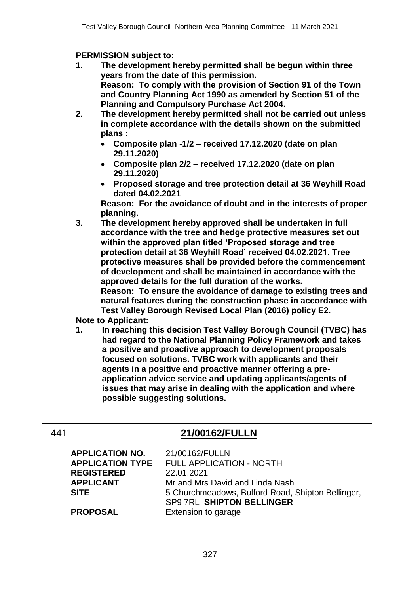**PERMISSION subject to:**

- **1. The development hereby permitted shall be begun within three years from the date of this permission. Reason: To comply with the provision of Section 91 of the Town and Country Planning Act 1990 as amended by Section 51 of the Planning and Compulsory Purchase Act 2004.**
- **2. The development hereby permitted shall not be carried out unless in complete accordance with the details shown on the submitted plans :**
	- **Composite plan -1/2 – received 17.12.2020 (date on plan 29.11.2020)**
	- **Composite plan 2/2 – received 17.12.2020 (date on plan 29.11.2020)**
	- **Proposed storage and tree protection detail at 36 Weyhill Road dated 04.02.2021**

**Reason: For the avoidance of doubt and in the interests of proper planning.** 

**3. The development hereby approved shall be undertaken in full accordance with the tree and hedge protective measures set out within the approved plan titled 'Proposed storage and tree protection detail at 36 Weyhill Road' received 04.02.2021. Tree protective measures shall be provided before the commencement of development and shall be maintained in accordance with the approved details for the full duration of the works. Reason: To ensure the avoidance of damage to existing trees and** 

**natural features during the construction phase in accordance with Test Valley Borough Revised Local Plan (2016) policy E2.**

**Note to Applicant:**

**1. In reaching this decision Test Valley Borough Council (TVBC) has had regard to the National Planning Policy Framework and takes a positive and proactive approach to development proposals focused on solutions. TVBC work with applicants and their agents in a positive and proactive manner offering a preapplication advice service and updating applicants/agents of issues that may arise in dealing with the application and where possible suggesting solutions.**

# 441 **21/00162/FULLN**

| <b>APPLICATION NO.</b>  | 21/00162/FULLN                                    |
|-------------------------|---------------------------------------------------|
| <b>APPLICATION TYPE</b> | <b>FULL APPLICATION - NORTH</b>                   |
| <b>REGISTERED</b>       | 22.01.2021                                        |
| <b>APPLICANT</b>        | Mr and Mrs David and Linda Nash                   |
| <b>SITE</b>             | 5 Churchmeadows, Bulford Road, Shipton Bellinger, |
|                         | <b>SP9 7RL SHIPTON BELLINGER</b>                  |
| <b>PROPOSAL</b>         | Extension to garage                               |